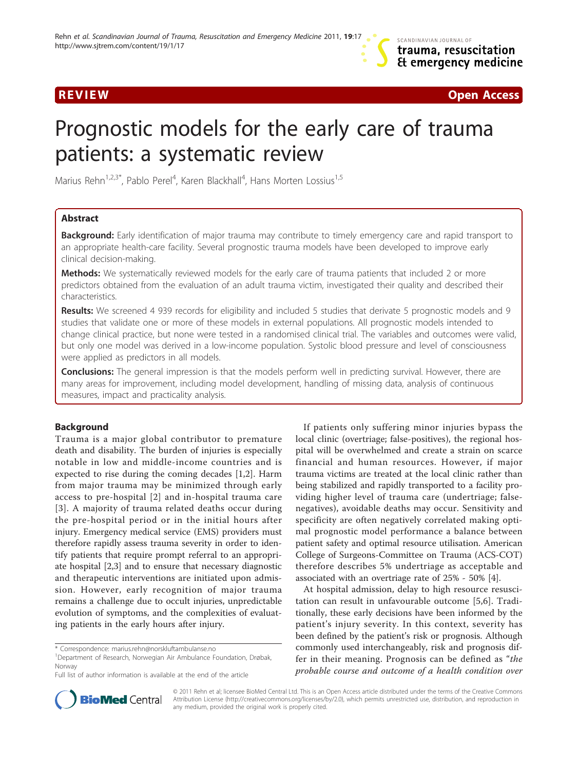

# Prognostic models for the early care of trauma patients: a systematic review

Marius Rehn<sup>1,2,3\*</sup>, Pablo Perel<sup>4</sup>, Karen Blackhall<sup>4</sup>, Hans Morten Lossius<sup>1,5</sup>

# Abstract

**Background:** Early identification of major trauma may contribute to timely emergency care and rapid transport to an appropriate health-care facility. Several prognostic trauma models have been developed to improve early clinical decision-making.

Methods: We systematically reviewed models for the early care of trauma patients that included 2 or more predictors obtained from the evaluation of an adult trauma victim, investigated their quality and described their characteristics.

Results: We screened 4 939 records for eligibility and included 5 studies that derivate 5 prognostic models and 9 studies that validate one or more of these models in external populations. All prognostic models intended to change clinical practice, but none were tested in a randomised clinical trial. The variables and outcomes were valid, but only one model was derived in a low-income population. Systolic blood pressure and level of consciousness were applied as predictors in all models.

Conclusions: The general impression is that the models perform well in predicting survival. However, there are many areas for improvement, including model development, handling of missing data, analysis of continuous measures, impact and practicality analysis.

# Background

Trauma is a major global contributor to premature death and disability. The burden of injuries is especially notable in low and middle-income countries and is expected to rise during the coming decades [[1,2\]](#page-7-0). Harm from major trauma may be minimized through early access to pre-hospital [[2\]](#page-7-0) and in-hospital trauma care [[3](#page-7-0)]. A majority of trauma related deaths occur during the pre-hospital period or in the initial hours after injury. Emergency medical service (EMS) providers must therefore rapidly assess trauma severity in order to identify patients that require prompt referral to an appropriate hospital [\[2,3](#page-7-0)] and to ensure that necessary diagnostic and therapeutic interventions are initiated upon admission. However, early recognition of major trauma remains a challenge due to occult injuries, unpredictable evolution of symptoms, and the complexities of evaluating patients in the early hours after injury.



At hospital admission, delay to high resource resuscitation can result in unfavourable outcome [[5,6\]](#page-7-0). Traditionally, these early decisions have been informed by the patient's injury severity. In this context, severity has been defined by the patient's risk or prognosis. Although commonly used interchangeably, risk and prognosis differ in their meaning. Prognosis can be defined as "the probable course and outcome of a health condition over



© 2011 Rehn et al; licensee BioMed Central Ltd. This is an Open Access article distributed under the terms of the Creative Commons Attribution License [\(http://creativecommons.org/licenses/by/2.0](http://creativecommons.org/licenses/by/2.0)), which permits unrestricted use, distribution, and reproduction in any medium, provided the original work is properly cited.

<sup>\*</sup> Correspondence: [marius.rehn@norskluftambulanse.no](mailto:marius.rehn@norskluftambulanse.no)

<sup>&</sup>lt;sup>1</sup>Department of Research, Norwegian Air Ambulance Foundation, Drøbak, Norway

Full list of author information is available at the end of the article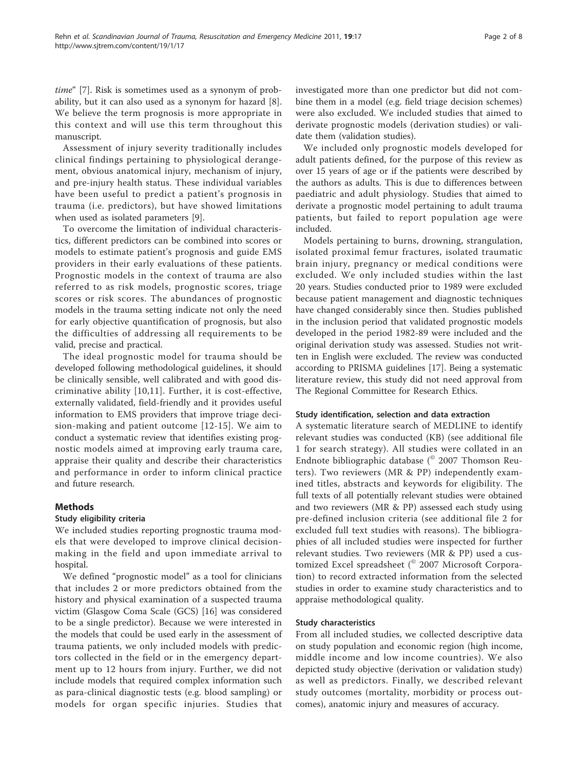time" [[7\]](#page-7-0). Risk is sometimes used as a synonym of probability, but it can also used as a synonym for hazard [\[8](#page-7-0)]. We believe the term prognosis is more appropriate in this context and will use this term throughout this manuscript.

Assessment of injury severity traditionally includes clinical findings pertaining to physiological derangement, obvious anatomical injury, mechanism of injury, and pre-injury health status. These individual variables have been useful to predict a patient's prognosis in trauma (i.e. predictors), but have showed limitations when used as isolated parameters [[9\]](#page-7-0).

To overcome the limitation of individual characteristics, different predictors can be combined into scores or models to estimate patient's prognosis and guide EMS providers in their early evaluations of these patients. Prognostic models in the context of trauma are also referred to as risk models, prognostic scores, triage scores or risk scores. The abundances of prognostic models in the trauma setting indicate not only the need for early objective quantification of prognosis, but also the difficulties of addressing all requirements to be valid, precise and practical.

The ideal prognostic model for trauma should be developed following methodological guidelines, it should be clinically sensible, well calibrated and with good discriminative ability [[10,11](#page-7-0)]. Further, it is cost-effective, externally validated, field-friendly and it provides useful information to EMS providers that improve triage decision-making and patient outcome [[12-15\]](#page-7-0). We aim to conduct a systematic review that identifies existing prognostic models aimed at improving early trauma care, appraise their quality and describe their characteristics and performance in order to inform clinical practice and future research.

# Methods

# Study eligibility criteria

We included studies reporting prognostic trauma models that were developed to improve clinical decisionmaking in the field and upon immediate arrival to hospital.

We defined "prognostic model" as a tool for clinicians that includes 2 or more predictors obtained from the history and physical examination of a suspected trauma victim (Glasgow Coma Scale (GCS) [\[16\]](#page-7-0) was considered to be a single predictor). Because we were interested in the models that could be used early in the assessment of trauma patients, we only included models with predictors collected in the field or in the emergency department up to 12 hours from injury. Further, we did not include models that required complex information such as para-clinical diagnostic tests (e.g. blood sampling) or models for organ specific injuries. Studies that investigated more than one predictor but did not combine them in a model (e.g. field triage decision schemes) were also excluded. We included studies that aimed to derivate prognostic models (derivation studies) or validate them (validation studies).

We included only prognostic models developed for adult patients defined, for the purpose of this review as over 15 years of age or if the patients were described by the authors as adults. This is due to differences between paediatric and adult physiology. Studies that aimed to derivate a prognostic model pertaining to adult trauma patients, but failed to report population age were included.

Models pertaining to burns, drowning, strangulation, isolated proximal femur fractures, isolated traumatic brain injury, pregnancy or medical conditions were excluded. We only included studies within the last 20 years. Studies conducted prior to 1989 were excluded because patient management and diagnostic techniques have changed considerably since then. Studies published in the inclusion period that validated prognostic models developed in the period 1982-89 were included and the original derivation study was assessed. Studies not written in English were excluded. The review was conducted according to PRISMA guidelines [[17\]](#page-7-0). Being a systematic literature review, this study did not need approval from The Regional Committee for Research Ethics.

# Study identification, selection and data extraction

A systematic literature search of MEDLINE to identify relevant studies was conducted (KB) (see additional file [1](#page-6-0) for search strategy). All studies were collated in an Endnote bibliographic database (© 2007 Thomson Reuters). Two reviewers (MR & PP) independently examined titles, abstracts and keywords for eligibility. The full texts of all potentially relevant studies were obtained and two reviewers (MR & PP) assessed each study using pre-defined inclusion criteria (see additional file [2](#page-6-0) for excluded full text studies with reasons). The bibliographies of all included studies were inspected for further relevant studies. Two reviewers (MR & PP) used a customized Excel spreadsheet (<sup>©</sup> 2007 Microsoft Corporation) to record extracted information from the selected studies in order to examine study characteristics and to appraise methodological quality.

# Study characteristics

From all included studies, we collected descriptive data on study population and economic region (high income, middle income and low income countries). We also depicted study objective (derivation or validation study) as well as predictors. Finally, we described relevant study outcomes (mortality, morbidity or process outcomes), anatomic injury and measures of accuracy.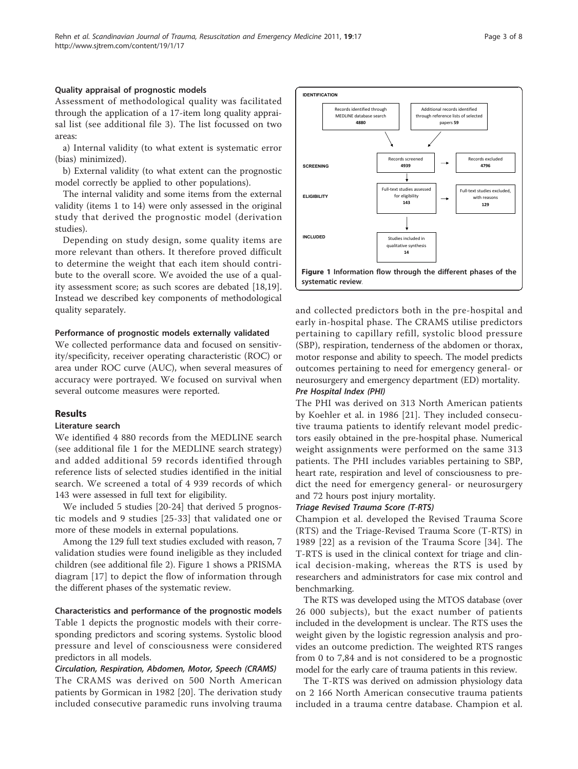# Quality appraisal of prognostic models

Assessment of methodological quality was facilitated through the application of a 17-item long quality appraisal list (see additional file [3](#page-6-0)). The list focussed on two areas:

a) Internal validity (to what extent is systematic error (bias) minimized).

b) External validity (to what extent can the prognostic model correctly be applied to other populations).

The internal validity and some items from the external validity (items 1 to 14) were only assessed in the original study that derived the prognostic model (derivation studies).

Depending on study design, some quality items are more relevant than others. It therefore proved difficult to determine the weight that each item should contribute to the overall score. We avoided the use of a quality assessment score; as such scores are debated [\[18,19](#page-7-0)]. Instead we described key components of methodological quality separately.

# Performance of prognostic models externally validated

We collected performance data and focused on sensitivity/specificity, receiver operating characteristic (ROC) or area under ROC curve (AUC), when several measures of accuracy were portrayed. We focused on survival when several outcome measures were reported.

# Results

# Literature search

We identified 4 880 records from the MEDLINE search (see additional file [1](#page-6-0) for the MEDLINE search strategy) and added additional 59 records identified through reference lists of selected studies identified in the initial search. We screened a total of 4 939 records of which 143 were assessed in full text for eligibility.

We included 5 studies [[20](#page-7-0)-[24\]](#page-7-0) that derived 5 prognostic models and 9 studies [[25](#page-7-0)-[33](#page-7-0)] that validated one or more of these models in external populations.

Among the 129 full text studies excluded with reason, 7 validation studies were found ineligible as they included children (see additional file [2](#page-6-0)). Figure 1 shows a PRISMA diagram [\[17\]](#page-7-0) to depict the flow of information through the different phases of the systematic review.

Characteristics and performance of the prognostic models Table [1](#page-3-0) depicts the prognostic models with their corre-

sponding predictors and scoring systems. Systolic blood pressure and level of consciousness were considered predictors in all models.

# Circulation, Respiration, Abdomen, Motor, Speech (CRAMS)

The CRAMS was derived on 500 North American patients by Gormican in 1982 [\[20](#page-7-0)]. The derivation study included consecutive paramedic runs involving trauma



and collected predictors both in the pre-hospital and early in-hospital phase. The CRAMS utilise predictors pertaining to capillary refill, systolic blood pressure (SBP), respiration, tenderness of the abdomen or thorax, motor response and ability to speech. The model predicts outcomes pertaining to need for emergency general- or neurosurgery and emergency department (ED) mortality. Pre Hospital Index (PHI)

The PHI was derived on 313 North American patients by Koehler et al. in 1986 [[21\]](#page-7-0). They included consecutive trauma patients to identify relevant model predictors easily obtained in the pre-hospital phase. Numerical weight assignments were performed on the same 313 patients. The PHI includes variables pertaining to SBP, heart rate, respiration and level of consciousness to predict the need for emergency general- or neurosurgery and 72 hours post injury mortality.

# Triage Revised Trauma Score (T-RTS)

Champion et al. developed the Revised Trauma Score (RTS) and the Triage-Revised Trauma Score (T-RTS) in 1989 [[22](#page-7-0)] as a revision of the Trauma Score [[34\]](#page-7-0). The T-RTS is used in the clinical context for triage and clinical decision-making, whereas the RTS is used by researchers and administrators for case mix control and benchmarking.

The RTS was developed using the MTOS database (over 26 000 subjects), but the exact number of patients included in the development is unclear. The RTS uses the weight given by the logistic regression analysis and provides an outcome prediction. The weighted RTS ranges from 0 to 7,84 and is not considered to be a prognostic model for the early care of trauma patients in this review.

The T-RTS was derived on admission physiology data on 2 166 North American consecutive trauma patients included in a trauma centre database. Champion et al.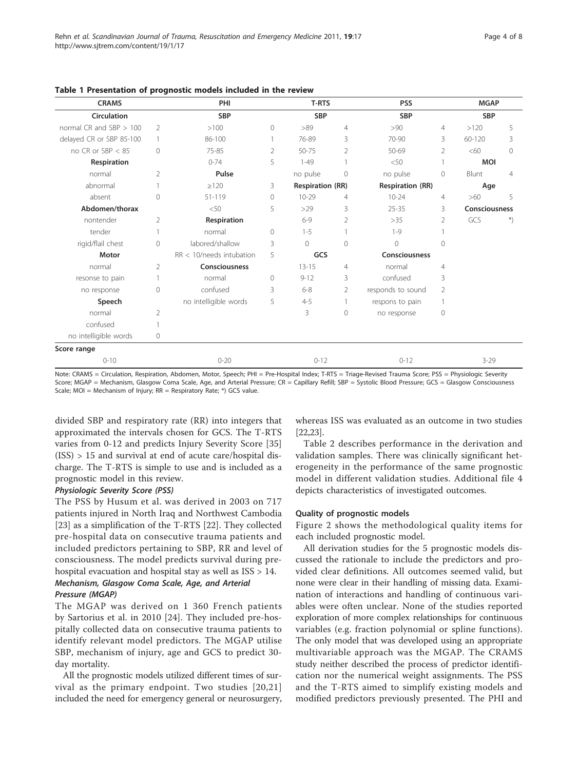| <b>CRAMS</b>             |                | PHI                      |              | T-RTS                   |                | <b>PSS</b>              |                | <b>MGAP</b>   |          |
|--------------------------|----------------|--------------------------|--------------|-------------------------|----------------|-------------------------|----------------|---------------|----------|
| Circulation              |                | <b>SBP</b>               |              | <b>SBP</b>              |                | <b>SBP</b>              |                | <b>SBP</b>    |          |
| normal CR and SBP > 100  | $\overline{2}$ | >100                     | $\Omega$     | >89                     | $\overline{4}$ | >90                     | $\overline{4}$ | >120          | 5        |
| delayed CR or SBP 85-100 | $\overline{1}$ | 86-100                   |              | 76-89                   | 3              | 70-90                   | 3              | 60-120        | 3        |
| no CR or SBP $< 85$      | $\circ$        | 75-85                    | 2            | 50-75                   | $\overline{2}$ | 50-69                   | $\overline{2}$ | <60           | $\Omega$ |
| Respiration              |                | $0 - 74$                 | 5            | $1 - 49$<br>1           |                | < 50                    |                | <b>MOI</b>    |          |
| normal                   | $\overline{2}$ | Pulse                    |              | no pulse                | $\circ$        | no pulse                | $\mathbf{0}$   | Blunt         | 4        |
| abnormal                 |                | $\geq$ 120               | 3            | <b>Respiration (RR)</b> |                | <b>Respiration (RR)</b> |                | Age           |          |
| absent                   | $\mathbf 0$    | 51-119                   | $\Omega$     | $10 - 29$               | 4              | $10 - 24$               | $\overline{4}$ | >60           | 5        |
| Abdomen/thorax           |                | < 50                     | 5            | >29                     | 3              | $25 - 35$               | 3              | Consciousness |          |
| nontender                | 2              | Respiration              |              | $6 - 9$                 | 2              | >35                     | 2              | GCS           | $\ast$   |
| tender                   |                | normal                   | $\circ$      | $1 - 5$                 |                | $1 - 9$                 |                |               |          |
| rigid/flail chest        | 0              | labored/shallow          | 3            | $\circ$                 | $\mathbf{0}$   | $\mathbf{0}$            | $\Omega$       |               |          |
| Motor                    |                | RR < 10/needs intubation | 5            | GCS                     |                | Consciousness           |                |               |          |
| normal                   | 2              | <b>Consciousness</b>     |              | $13 - 15$               | 4              | normal                  | $\overline{4}$ |               |          |
| resonse to pain          |                | normal                   | $\mathbf{0}$ | $9 - 12$                | 3              | confused                | 3              |               |          |
| no response              | 0              | confused                 | 3            | $6 - 8$                 | 2              | responds to sound       | 2              |               |          |
| Speech                   |                | no intelligible words    | 5            | $4 - 5$                 | 1              | respons to pain         |                |               |          |
| normal                   | 2              |                          |              | 3                       | $\circ$        | no response             | $\mathbf{0}$   |               |          |
| confused                 |                |                          |              |                         |                |                         |                |               |          |
| no intelligible words    | 0              |                          |              |                         |                |                         |                |               |          |
| Score range              |                |                          |              |                         |                |                         |                |               |          |
| $0 - 10$                 |                | $0 - 20$                 |              | $0 - 12$                |                | $0 - 12$                |                | $3 - 29$      |          |

<span id="page-3-0"></span>Table 1 Presentation of prognostic models included in the review

Note: CRAMS = Circulation, Respiration, Abdomen, Motor, Speech; PHI = Pre-Hospital Index; T-RTS = Triage-Revised Trauma Score; PSS = Physiologic Severity Score; MGAP = Mechanism, Glasgow Coma Scale, Age, and Arterial Pressure; CR = Capillary Refill; SBP = Systolic Blood Pressure; GCS = Glasgow Consciousness Scale; MOI = Mechanism of Injury; RR = Respiratory Rate; \*) GCS value.

divided SBP and respiratory rate (RR) into integers that approximated the intervals chosen for GCS. The T-RTS varies from 0-12 and predicts Injury Severity Score [\[35](#page-7-0)] (ISS) > 15 and survival at end of acute care/hospital discharge. The T-RTS is simple to use and is included as a prognostic model in this review.

# Physiologic Severity Score (PSS)

The PSS by Husum et al. was derived in 2003 on 717 patients injured in North Iraq and Northwest Cambodia [[23\]](#page-7-0) as a simplification of the T-RTS [[22\]](#page-7-0). They collected pre-hospital data on consecutive trauma patients and included predictors pertaining to SBP, RR and level of consciousness. The model predicts survival during prehospital evacuation and hospital stay as well as ISS > 14. Mechanism, Glasgow Coma Scale, Age, and Arterial Pressure (MGAP)

The MGAP was derived on 1 360 French patients by Sartorius et al. in 2010 [[24\]](#page-7-0). They included pre-hospitally collected data on consecutive trauma patients to identify relevant model predictors. The MGAP utilise SBP, mechanism of injury, age and GCS to predict 30 day mortality.

All the prognostic models utilized different times of survival as the primary endpoint. Two studies [[20](#page-7-0),[21](#page-7-0)] included the need for emergency general or neurosurgery, whereas ISS was evaluated as an outcome in two studies [[22,23\]](#page-7-0).

Table [2](#page-4-0) describes performance in the derivation and validation samples. There was clinically significant heterogeneity in the performance of the same prognostic model in different validation studies. Additional file [4](#page-6-0) depicts characteristics of investigated outcomes.

## Quality of prognostic models

Figure [2](#page-5-0) shows the methodological quality items for each included prognostic model.

All derivation studies for the 5 prognostic models discussed the rationale to include the predictors and provided clear definitions. All outcomes seemed valid, but none were clear in their handling of missing data. Examination of interactions and handling of continuous variables were often unclear. None of the studies reported exploration of more complex relationships for continuous variables (e.g. fraction polynomial or spline functions). The only model that was developed using an appropriate multivariable approach was the MGAP. The CRAMS study neither described the process of predictor identification nor the numerical weight assignments. The PSS and the T-RTS aimed to simplify existing models and modified predictors previously presented. The PHI and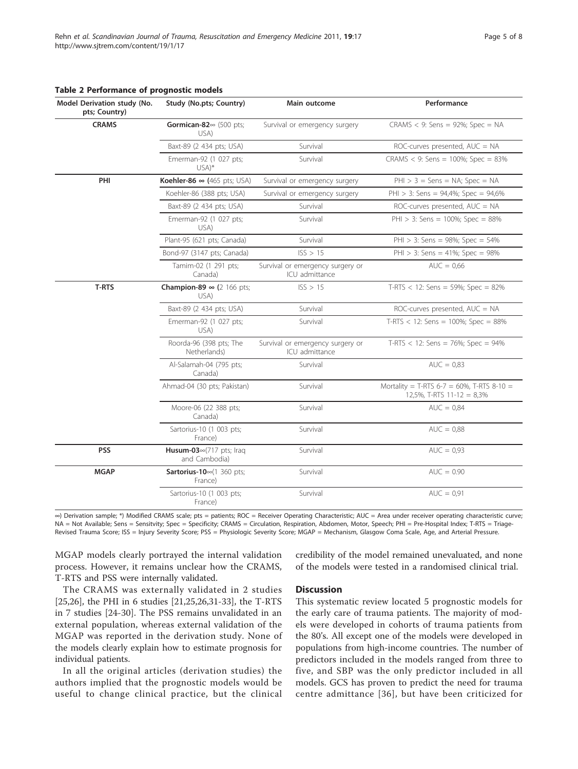| Model Derivation study (No.<br>pts; Country) | Study (No.pts; Country)                           | Main outcome                                       | Performance                                                                    |
|----------------------------------------------|---------------------------------------------------|----------------------------------------------------|--------------------------------------------------------------------------------|
| <b>CRAMS</b>                                 | Gormican-82 $\infty$ (500 pts;<br>USA)            | Survival or emergency surgery                      | CRAMS $< 9$ : Sens = 92%; Spec = NA                                            |
|                                              | Baxt-89 (2 434 pts; USA)                          | Survival                                           | ROC-curves presented, $AUC = NA$                                               |
|                                              | Emerman-92 (1 027 pts;<br>$USA)*$                 | Survival                                           | CRAMS < 9: Sens = $100\%$ ; Spec = $83\%$                                      |
| PHI                                          | Koehler-86 $\infty$ (465 pts; USA)                | Survival or emergency surgery                      | $PHI > 3 = Sens = NA; Spec = NA$                                               |
|                                              | Koehler-86 (388 pts; USA)                         | Survival or emergency surgery                      | PHI > 3: Sens = $94,4\%$ ; Spec = $94,6\%$                                     |
|                                              | Baxt-89 (2 434 pts; USA)                          | Survival                                           | ROC-curves presented, $AUC = NA$                                               |
|                                              | Emerman-92 (1 027 pts;<br>USA)                    | Survival                                           | $PHI > 3$ : Sens = 100%; Spec = 88%                                            |
|                                              | Plant-95 (621 pts; Canada)                        | Survival                                           | $PHI > 3$ : Sens = 98%; Spec = 54%                                             |
|                                              | Bond-97 (3147 pts; Canada)                        | ISS > 15                                           | $PHI > 3$ : Sens = 41%; Spec = 98%                                             |
|                                              | Tamim-02 (1 291 pts;<br>Canada)                   | Survival or emergency surgery or<br>ICU admittance | $AUC = 0.66$                                                                   |
| <b>T-RTS</b>                                 | Champion-89 $\infty$ (2 166 pts;<br>USA)          | ISS > 15                                           | T-RTS < 12: Sens = 59%; Spec = $82\%$                                          |
|                                              | Baxt-89 (2 434 pts; USA)                          | Survival                                           | ROC-curves presented, $AUC = NA$                                               |
|                                              | Emerman-92 (1 027 pts;<br>USA)                    | Survival                                           | T-RTS < 12: Sens = 100%; Spec = $88\%$                                         |
|                                              | Roorda-96 (398 pts; The<br>Netherlands)           | Survival or emergency surgery or<br>ICU admittance | T-RTS < 12: Sens = 76%; Spec = $94\%$                                          |
|                                              | Al-Salamah-04 (795 pts;<br>Canada)                | Survival                                           | $AUC = 0.83$                                                                   |
|                                              | Ahmad-04 (30 pts; Pakistan)                       | Survival                                           | Mortality = T-RTS $6-7 = 60\%$ , T-RTS $8-10 =$<br>12,5%, T-RTS $11-12 = 8,3%$ |
|                                              | Moore-06 (22 388 pts;<br>Canada)                  | Survival                                           | $AUC = 0.84$                                                                   |
|                                              | Sartorius-10 (1 003 pts;<br>France)               | Survival                                           | $AUC = 0.88$                                                                   |
| <b>PSS</b>                                   | Husum-03 $\infty$ (717 pts; Iraq<br>and Cambodia) | Survival                                           | $AUC = 0.93$                                                                   |
| <b>MGAP</b>                                  | Sartorius-10 $\infty$ (1 360 pts;<br>France)      | Survival                                           | $AUC = 0.90$                                                                   |
|                                              | Sartorius-10 (1 003 pts;<br>France)               | Survival                                           | $AUC = 0.91$                                                                   |

# <span id="page-4-0"></span>Table 2 Performance of prognostic models

∞) Derivation sample; \*) Modified CRAMS scale; pts = patients; ROC = Receiver Operating Characteristic; AUC = Area under receiver operating characteristic curve; NA = Not Available; Sens = Sensitvity; Spec = Specificity; CRAMS = Circulation, Respiration, Abdomen, Motor, Speech; PHI = Pre-Hospital Index; T-RTS = Triage-Revised Trauma Score; ISS = Injury Severity Score; PSS = Physiologic Severity Score; MGAP = Mechanism, Glasgow Coma Scale, Age, and Arterial Pressure.

MGAP models clearly portrayed the internal validation process. However, it remains unclear how the CRAMS, T-RTS and PSS were internally validated.

credibility of the model remained unevaluated, and none of the models were tested in a randomised clinical trial.

The CRAMS was externally validated in 2 studies [[25,26\]](#page-7-0), the PHI in 6 studies [[21,25,26,31](#page-7-0)-[33](#page-7-0)], the T-RTS in 7 studies [\[24](#page-7-0)-[30\]](#page-7-0). The PSS remains unvalidated in an external population, whereas external validation of the MGAP was reported in the derivation study. None of the models clearly explain how to estimate prognosis for individual patients.

In all the original articles (derivation studies) the authors implied that the prognostic models would be useful to change clinical practice, but the clinical

# **Discussion**

This systematic review located 5 prognostic models for the early care of trauma patients. The majority of models were developed in cohorts of trauma patients from the 80's. All except one of the models were developed in populations from high-income countries. The number of predictors included in the models ranged from three to five, and SBP was the only predictor included in all models. GCS has proven to predict the need for trauma centre admittance [[36\]](#page-7-0), but have been criticized for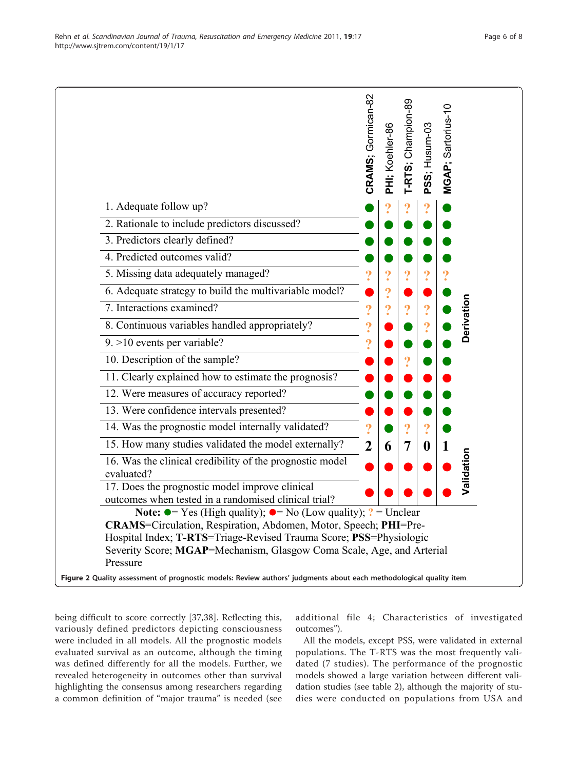<span id="page-5-0"></span>

being difficult to score correctly [[37,38\]](#page-7-0). Reflecting this, variously defined predictors depicting consciousness were included in all models. All the prognostic models evaluated survival as an outcome, although the timing was defined differently for all the models. Further, we revealed heterogeneity in outcomes other than survival highlighting the consensus among researchers regarding a common definition of "major trauma" is needed (see

additional file [4](#page-6-0); Characteristics of investigated outcomes").

All the models, except PSS, were validated in external populations. The T-RTS was the most frequently validated (7 studies). The performance of the prognostic models showed a large variation between different validation studies (see table [2](#page-4-0)), although the majority of stu-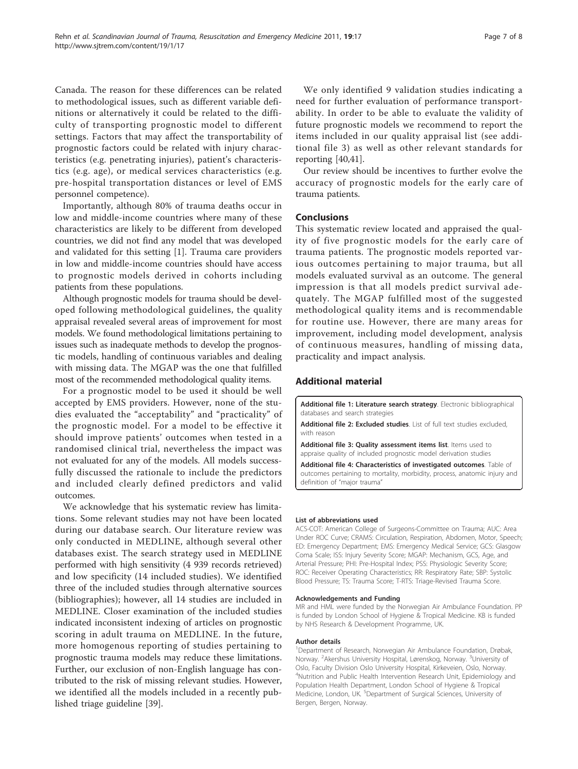<span id="page-6-0"></span>Canada. The reason for these differences can be related to methodological issues, such as different variable definitions or alternatively it could be related to the difficulty of transporting prognostic model to different settings. Factors that may affect the transportability of prognostic factors could be related with injury characteristics (e.g. penetrating injuries), patient's characteristics (e.g. age), or medical services characteristics (e.g. pre-hospital transportation distances or level of EMS personnel competence).

Importantly, although 80% of trauma deaths occur in low and middle-income countries where many of these characteristics are likely to be different from developed countries, we did not find any model that was developed and validated for this setting [\[1](#page-7-0)]. Trauma care providers in low and middle-income countries should have access to prognostic models derived in cohorts including patients from these populations.

Although prognostic models for trauma should be developed following methodological guidelines, the quality appraisal revealed several areas of improvement for most models. We found methodological limitations pertaining to issues such as inadequate methods to develop the prognostic models, handling of continuous variables and dealing with missing data. The MGAP was the one that fulfilled most of the recommended methodological quality items.

For a prognostic model to be used it should be well accepted by EMS providers. However, none of the studies evaluated the "acceptability" and "practicality" of the prognostic model. For a model to be effective it should improve patients' outcomes when tested in a randomised clinical trial, nevertheless the impact was not evaluated for any of the models. All models successfully discussed the rationale to include the predictors and included clearly defined predictors and valid outcomes.

We acknowledge that his systematic review has limitations. Some relevant studies may not have been located during our database search. Our literature review was only conducted in MEDLINE, although several other databases exist. The search strategy used in MEDLINE performed with high sensitivity (4 939 records retrieved) and low specificity (14 included studies). We identified three of the included studies through alternative sources (bibliographies); however, all 14 studies are included in MEDLINE. Closer examination of the included studies indicated inconsistent indexing of articles on prognostic scoring in adult trauma on MEDLINE. In the future, more homogenous reporting of studies pertaining to prognostic trauma models may reduce these limitations. Further, our exclusion of non-English language has contributed to the risk of missing relevant studies. However, we identified all the models included in a recently published triage guideline [\[39\]](#page-7-0).

We only identified 9 validation studies indicating a need for further evaluation of performance transportability. In order to be able to evaluate the validity of future prognostic models we recommend to report the items included in our quality appraisal list (see additional file 3) as well as other relevant standards for reporting [[40,41](#page-7-0)].

Our review should be incentives to further evolve the accuracy of prognostic models for the early care of trauma patients.

# Conclusions

This systematic review located and appraised the quality of five prognostic models for the early care of trauma patients. The prognostic models reported various outcomes pertaining to major trauma, but all models evaluated survival as an outcome. The general impression is that all models predict survival adequately. The MGAP fulfilled most of the suggested methodological quality items and is recommendable for routine use. However, there are many areas for improvement, including model development, analysis of continuous measures, handling of missing data, practicality and impact analysis.

# Additional material

[Additional file 1: L](http://www.biomedcentral.com/content/supplementary/1757-7241-19-17-S1.DOC)iterature search strategy. Electronic bibliographical databases and search strategies

[Additional file 2: E](http://www.biomedcentral.com/content/supplementary/1757-7241-19-17-S2.DOC)xcluded studies. List of full text studies excluded, with reason

[Additional file 3: Q](http://www.biomedcentral.com/content/supplementary/1757-7241-19-17-S3.DOC)uality assessment items list. Items used to appraise quality of included prognostic model derivation studies

[Additional file 4: C](http://www.biomedcentral.com/content/supplementary/1757-7241-19-17-S4.DOC)haracteristics of investigated outcomes. Table of outcomes pertaining to mortality, morbidity, process, anatomic injury and definition of "major trauma"

## List of abbreviations used

ACS-COT: American College of Surgeons-Committee on Trauma; AUC: Area Under ROC Curve; CRAMS: Circulation, Respiration, Abdomen, Motor, Speech; ED: Emergency Department; EMS: Emergency Medical Service; GCS: Glasgow Coma Scale; ISS: Injury Severity Score; MGAP: Mechanism, GCS, Age, and Arterial Pressure; PHI: Pre-Hospital Index; PSS: Physiologic Severity Score; ROC: Receiver Operating Characteristics; RR: Respiratory Rate; SBP: Systolic Blood Pressure; TS: Trauma Score; T-RTS: Triage-Revised Trauma Score.

#### Acknowledgements and Funding

MR and HML were funded by the Norwegian Air Ambulance Foundation. PP is funded by London School of Hygiene & Tropical Medicine. KB is funded by NHS Research & Development Programme, UK.

## Author details

<sup>1</sup>Department of Research, Norwegian Air Ambulance Foundation, Drøbak Norway. <sup>2</sup> Akershus University Hospital, Lørenskog, Norway. <sup>3</sup> University of Oslo, Faculty Division Oslo University Hospital, Kirkeveien, Oslo, Norway. 4 Nutrition and Public Health Intervention Research Unit, Epidemiology and Population Health Department, London School of Hygiene & Tropical Medicine, London, UK. <sup>5</sup>Department of Surgical Sciences, University of Bergen, Bergen, Norway.